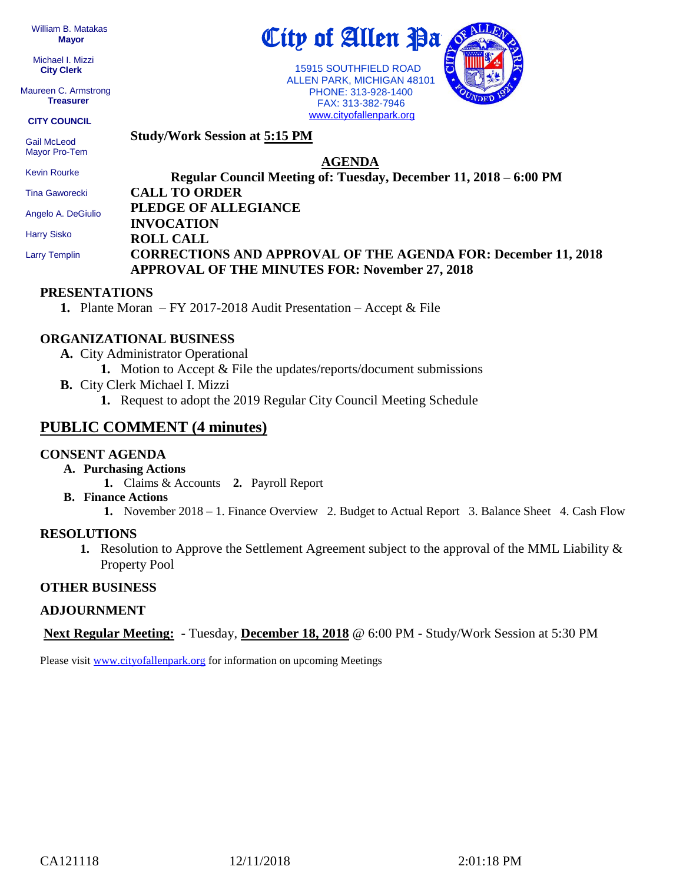William B. Matakas  **Mayor**

 Michael I. Mizzi **City Clerk**

Maureen C. Armstrong **Treasurer**

**CITY COUNCIL**

 Gail McLeod Mayor Pro-Tem

 Kevin Rourke Tina Gaworecki Angelo A. DeGiulio

 Harry Sisko Larry Templin **Study/Work Session at 5:15 PM**

# **AGENDA**

City of Allen Pa

 15915 SOUTHFIELD ROAD ALLEN PARK, MICHIGAN 48101 PHONE: 313-928-1400 FAX: 313-382-7946 [www.cityofallenpark.org](http://www.cityofallenpark.org/)

**Regular Council Meeting of: Tuesday, December 11, 2018 – 6:00 PM CALL TO ORDER PLEDGE OF ALLEGIANCE INVOCATION ROLL CALL CORRECTIONS AND APPROVAL OF THE AGENDA FOR: December 11, 2018 APPROVAL OF THE MINUTES FOR: November 27, 2018**

## **PRESENTATIONS**

**1.** Plante Moran – FY 2017-2018 Audit Presentation – Accept & File

## **ORGANIZATIONAL BUSINESS**

- **A.** City Administrator Operational
	- **1.** Motion to Accept & File the updates/reports/document submissions
- **B.** City Clerk Michael I. Mizzi
	- **1.** Request to adopt the 2019 Regular City Council Meeting Schedule

# **PUBLIC COMMENT (4 minutes)**

#### **CONSENT AGENDA**

- **A. Purchasing Actions**
	- **1.** Claims & Accounts **2.** Payroll Report
- **B. Finance Actions**
	- **1.** November 2018 1. Finance Overview 2. Budget to Actual Report 3. Balance Sheet 4. Cash Flow

#### **RESOLUTIONS**

**1.** Resolution to Approve the Settlement Agreement subject to the approval of the MML Liability & Property Pool

#### **OTHER BUSINESS**

#### **ADJOURNMENT**

**Next Regular Meeting: -** Tuesday, **December 18, 2018** @ 6:00 PM **-** Study/Work Session at 5:30 PM

Please visit [www.cityofallenpark.org](http://www.cityofallenpark.org/) for information on upcoming Meetings